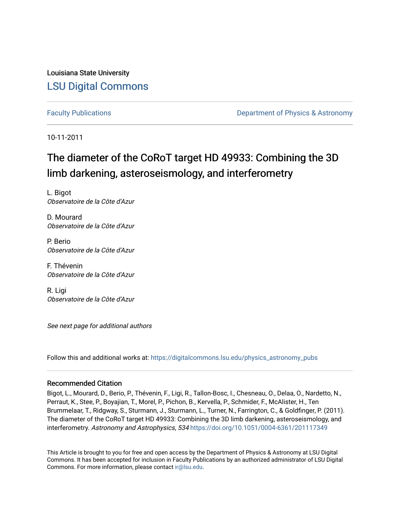Louisiana State University [LSU Digital Commons](https://digitalcommons.lsu.edu/)

[Faculty Publications](https://digitalcommons.lsu.edu/physics_astronomy_pubs) **Example 2** Constant Department of Physics & Astronomy

10-11-2011

# The diameter of the CoRoT target HD 49933: Combining the 3D limb darkening, asteroseismology, and interferometry

L. Bigot Observatoire de la Côte d'Azur

D. Mourard Observatoire de la Côte d'Azur

P. Berio Observatoire de la Côte d'Azur

F. Thévenin Observatoire de la Côte d'Azur

R. Ligi Observatoire de la Côte d'Azur

See next page for additional authors

Follow this and additional works at: [https://digitalcommons.lsu.edu/physics\\_astronomy\\_pubs](https://digitalcommons.lsu.edu/physics_astronomy_pubs?utm_source=digitalcommons.lsu.edu%2Fphysics_astronomy_pubs%2F461&utm_medium=PDF&utm_campaign=PDFCoverPages) 

## Recommended Citation

Bigot, L., Mourard, D., Berio, P., Thévenin, F., Ligi, R., Tallon-Bosc, I., Chesneau, O., Delaa, O., Nardetto, N., Perraut, K., Stee, P., Boyajian, T., Morel, P., Pichon, B., Kervella, P., Schmider, F., McAlister, H., Ten Brummelaar, T., Ridgway, S., Sturmann, J., Sturmann, L., Turner, N., Farrington, C., & Goldfinger, P. (2011). The diameter of the CoRoT target HD 49933: Combining the 3D limb darkening, asteroseismology, and interferometry. Astronomy and Astrophysics, 534 <https://doi.org/10.1051/0004-6361/201117349>

This Article is brought to you for free and open access by the Department of Physics & Astronomy at LSU Digital Commons. It has been accepted for inclusion in Faculty Publications by an authorized administrator of LSU Digital Commons. For more information, please contact [ir@lsu.edu](mailto:ir@lsu.edu).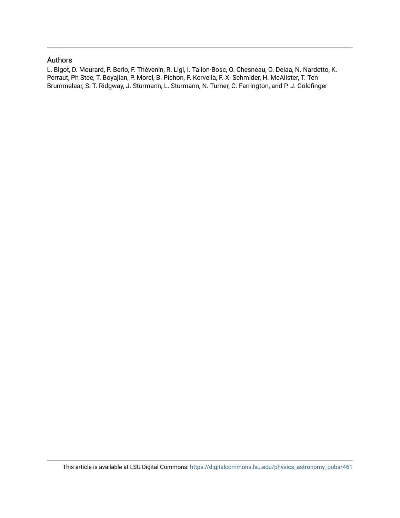## Authors

L. Bigot, D. Mourard, P. Berio, F. Thévenin, R. Ligi, I. Tallon-Bosc, O. Chesneau, O. Delaa, N. Nardetto, K. Perraut, Ph Stee, T. Boyajian, P. Morel, B. Pichon, P. Kervella, F. X. Schmider, H. McAlister, T. Ten Brummelaar, S. T. Ridgway, J. Sturmann, L. Sturmann, N. Turner, C. Farrington, and P. J. Goldfinger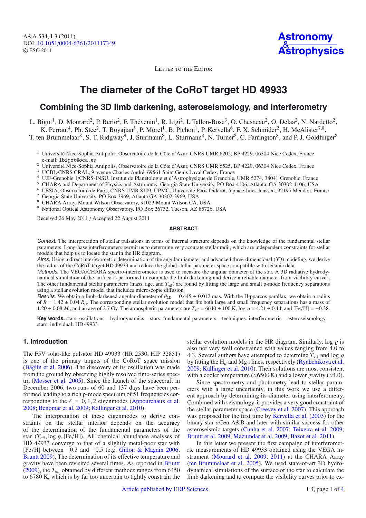A&A 534, L3 (2011) DOI: 10.1051/0004-6361/[201117349](http://dx.doi.org/10.1051/0004-6361/201117349) © ESO 2011

**Astronomy** & **[Astrophysics](http://www.aanda.org)**

LETTER TO THE EDITOR

## **The diameter of the CoRoT target HD 49933**

## **Combining the 3D limb darkening, asteroseismology, and interferometry**

L. Bigot<sup>1</sup>, D. Mourard<sup>2</sup>, P. Berio<sup>2</sup>, F. Thévenin<sup>1</sup>, R. Ligi<sup>2</sup>, I. Tallon-Bosc<sup>3</sup>, O. Chesneau<sup>2</sup>, O. Delaa<sup>2</sup>, N. Nardetto<sup>2</sup>, K. Perraut<sup>4</sup>, Ph. Stee<sup>2</sup>, T. Boyajian<sup>5</sup>, P. Morel<sup>1</sup>, B. Pichon<sup>1</sup>, P. Kervella<sup>6</sup>, F. X. Schmider<sup>2</sup>, H. McAlister<sup>7,8</sup>, T. ten Brummelaar<sup>8</sup>, S. T. Ridgway<sup>9</sup>, J. Sturmann<sup>8</sup>, L. Sturmann<sup>8</sup>, N. Turner<sup>8</sup>, C. Farrington<sup>8</sup>, and P. J. Goldfinger<sup>8</sup>

- <sup>1</sup> Université Nice-Sophia Antipolis, Observatoire de la Côte d'Azur, CNRS UMR 6202, BP 4229, 06304 Nice Cedex, France e-mail: lbigot@oca.eu
- <sup>2</sup> Université Nice-Sophia Antipolis, Observatoire de la Côte d'Azur, CNRS UMR 6525, BP 4229, 06304 Nice Cedex, France  $3$  UCBL/CNRS CRAL, 9 avenue Charles André, 69561 Saint Genis Laval Cedex, France

- 
- <sup>4</sup> UJF-Grenoble 1/CNRS-INSU, Institut de Planétologie et d'Astrophysique de Grenoble, UMR 5274, 38041 Grenoble, France <sup>5</sup> CHARA and Department of Physics and Astronomy, Georgia State University, PO Box 4106, Atlanta, GA
- <sup>6</sup> LESIA, Observatoire de Paris, CNRS UMR 8109, UPMC, Université Paris Diderot, 5 place Jules Janssen, 92195 Meudon, France
- <sup>7</sup> Georgia State University, PO Box 3969, Atlanta GA 30302-3969, USA
- <sup>8</sup> CHARA Array, Mount Wilson Observatory, 91023 Mount Wilson CA, USA
- <sup>9</sup> National Optical Astronomy Observatory, PO Box 26732, Tucson, AZ 85726, USA

Received 26 May 2011 / Accepted 22 August 2011

#### **ABSTRACT**

Context. The interpretation of stellar pulsations in terms of internal structure depends on the knowledge of the fundamental stellar parameters. Long-base interferometers permit us to determine very accurate stellar radii, which are independent constraints for stellar models that help us to locate the star in the HR diagram.

Aims. Using a direct interferometric determination of the angular diameter and advanced three-dimensional (3D) modeling, we derive the radius of the CoRoT target HD 49933 and reduce the global stellar parameter space compatible with seismic data.

Methods. The VEGA/CHARA spectro-interferometer is used to measure the angular diameter of the star. A 3D radiative hydrodynamical simulation of the surface is performed to compute the limb darkening and derive a reliable diameter from visibility curves. The other fundamental stellar parameters (mass, age, and  $T_{\text{eff}}$ ) are found by fitting the large and small p-mode frequency separations using a stellar evolution model that includes microscopic diffusion.

Results. We obtain a limb-darkened angular diameter of  $\theta_{\text{LD}} = 0.445 \pm 0.012$  mas. With the Hipparcos parallax, we obtain a radius of  $R = 1.42 \pm 0.04$   $R_{\odot}$ . The corresponding stellar evolution model that fits both large and small frequency separations has a mass of 1.20 ± 0.08  $M_{\odot}$  and an age of 2.7 Gy. The atmospheric parameters are  $T_{\text{eff}}$  = 6640 ± 100 K, log  $g$  = 4.21 ± 0.14, and [Fe/H] = −0.38.

**Key words.** stars: oscillations – hydrodynamics – stars: fundamental parameters – techniques: interferometric – asteroseismology – stars: individual: HD 49933

## **1. Introduction**

The F5V solar-like pulsator HD 49933 (HR 2530, HIP 32851) is one of the primary targets of the CoRoT space mission [\(Baglin et al. 2006](#page-5-0)). The discovery of its oscillation was made from the ground by observing highly resolved time-series spectra [\(Mosser et al. 2005](#page-5-1)). Since the launch of the spacecraft in December 2006, two runs of 60 and 137 days have been performed leading to a rich p-mode spectrum of 51 frequencies corresponding to the  $\ell = 0, 1, 2$  eigenmodes [\(Appourchaux et al.](#page-5-2) [2008;](#page-5-2) [Benomar et al. 2009;](#page-5-3) [Kallinger et al. 2010](#page-5-4)).

The interpretation of these eigenmodes to derive constraints on the stellar interior depends on the accuracy of the determination of the fundamental parameters of the star  $(T_{\text{eff}}, \log q, \text{[Fe/H]})$ . All chemical abundance analyses of HD 49933 converge to that of a slightly metal-poor star with [Fe/H] between <sup>−</sup>0.3 and <sup>−</sup>0.5 (e.g. [Gillon & Magain 2006;](#page-5-5) [Bruntt 2009\)](#page-5-6). The determination of its effective temperature and gravity have been revisited several times. As reported in [Bruntt](#page-5-6) [\(2009](#page-5-6)), the *T*<sup>e</sup>ff obtained by different methods ranges from 6450 to 6780 K, which is by far too uncertain to tightly constrain the stellar evolution models in the HR diagram. Similarly,  $\log g$  is also not very well constrained with values ranging from 4.0 to 4.3. Several authors have attempted to determine  $T_{\text{eff}}$  and log g by fitting the H<sub>β</sub> and Mg I lines, respectively [\(Ryabchikova et al.](#page-5-7) [2009;](#page-5-7) [Kallinger et al. 2010\)](#page-5-4). Their solutions are most consistent with a cooler temperature ( $\approx$ 6500 K) and a lower gravity ( $\approx$ 4.0).

Since spectrometry and photometry lead to stellar parameters with a large uncertainty, in this work we use a different approach by determining its diameter using interferometry. Combined with seismology, it provides a very good constraint of the stellar parameter space [\(Creevey et al. 2007](#page-5-8)). This approach was proposed for the first time by [Kervella et al.](#page-5-9) [\(2003\)](#page-5-9) for the binary star  $\alpha$ Cen A&B and later with similar success for other asteroseismic targets [\(Cunha et al. 2007;](#page-5-10) [Teixeira et al. 2009;](#page-5-11) [Bruntt et al. 2009](#page-5-12); [Mazumdar et al. 2009](#page-5-13); [Bazot et al. 2011\)](#page-5-14).

In this letter we present the first campaign of interferometric measurements of HD 49933 obtained using the VEGA instrument [\(Mourard et al. 2009](#page-5-15), [2011](#page-5-16)) at the CHARA Array [\(ten Brummelaar et al. 2005\)](#page-5-17). We used state-of-art 3D hydrodynamical simulations of the surface of the star to calculate the limb darkening and to compute the visibility curves prior to ex-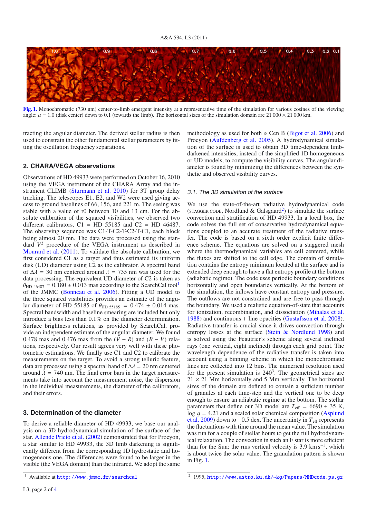<span id="page-3-2"></span>

**[Fig. 1.](http://dexter.edpsciences.org/applet.php?DOI=10.1051/0004-6361/201117349&pdf_id=1)** Monochromatic (730 nm) center-to-limb emergent intensity at a representative time of the simulation for various cosines of the viewing angle:  $\mu = 1.0$  (disk center) down to 0.1 (towards the limb). The horizontal sizes of the simulation domain are 21 000 × 21 000 km.

tracting the angular diameter. The derived stellar radius is then used to constrain the other fundamental stellar parameters by fitting the oscillation frequency separations.

#### **2. CHARA/VEGA observations**

Observations of HD 49933 were performed on October 16, 2010 using the VEGA instrument of the CHARA Array and the instrument CLIMB [\(Sturmann et al. 2010\)](#page-5-19) for 3T group delay tracking. The telescopes E1, E2, and W2 were used giving access to ground baselines of 66, 156, and 221 m. The seeing was stable with a value of r0 between 10 and 13 cm. For the absolute calibration of the squared visibilities, we observed two different calibrators,  $C1 = HD 55185$  and  $C2 = HD 46487$ . The observing sequence was C1-T-C2-T-C2-T-C1, each block being almost 20 mn. The data were processed using the standard *V*<sup>2</sup> procedure of the VEGA instrument as described in [Mourard et al.](#page-5-16) [\(2011](#page-5-16)). To validate the absolute calibration, we first considered C1 as a target and thus estimated its uniform disk (UD) diameter using C2 as the calibrator. A spectral band of  $\Delta \lambda$  = 30 nm centered around  $\lambda$  = 735 nm was used for the data processing. The equivalent UD diameter of C2 is taken as  $\theta_{HD\,46487} = 0.180 \pm 0.013$  mas according to the SearchCal tool<sup>1</sup> of the JMMC [\(Bonneau et al. 2006\)](#page-5-20). Fitting a UD model to the three squared visibilities provides an estimate of the angular diameter of HD 55185 of  $\theta_{HD\,55185} = 0.474 \pm 0.014$  mas. Spectral bandwidth and baseline smearing are included but only introduce a bias less than 0.1% on the diameter determination. Surface brightness relations, as provided by SearchCal, provide an independent estimate of the angular diameter. We found <sup>0</sup>.478 mas and 0.476 mas from the (*<sup>V</sup>* <sup>−</sup> *<sup>R</sup>*) and (*<sup>B</sup>* <sup>−</sup> *<sup>V</sup>*) relations, respectively. Our result agrees very well with these photometric estimations. We finally use C1 and C2 to calibrate the measurements on the target. To avoid a strong telluric feature, data are processed using a spectral band of  $\Delta \lambda = 20$  nm centered around  $\lambda = 740$  nm. The final error bars in the target measurements take into account the measurement noise, the dispersion in the individual measurements, the diameter of the calibrators, and their errors.

#### <span id="page-3-0"></span>**3. Determination of the diameter**

To derive a reliable diameter of HD 49933, we base our analysis on a 3D hydrodynamical simulation of the surface of the star. [Allende Prieto et al.](#page-5-21) [\(2002\)](#page-5-21) demonstrated that for Procyon, a star similar to HD 49933, the 3D limb darkening is significantly different from the corresponding 1D hydrostatic and homogeneous one. The differences were found to be larger in the visible (the VEGA domain) than the infrared. We adopt the same methodology as used for both  $\alpha$  Cen B [\(Bigot et al. 2006\)](#page-5-22) and Procyon [\(Aufdenberg et al. 2005\)](#page-5-23). A hydrodynamical simulation of the surface is used to obtain 3D time-dependent limbdarkened intensities, instead of the simplified 1D homogeneous or UD models, to compute the visibility curves. The angular diameter is found by minimizing the differences between the synthetic and observed visibility curves.

#### <span id="page-3-3"></span>3.1. The 3D simulation of the surface

We use the state-of-the-art radiative hydrodynamical code (STAGGER CODE, Nordlund & Galsgaard<sup>2</sup>) to simulate the surface convection and stratification of HD 49933. In a local box, the code solves the full set of conservative hydrodynamical equations coupled to an accurate treatment of the radiative transfer. The code is based on a sixth order explicit finite difference scheme. The equations are solved on a staggered mesh where the thermodynamical variables are cell centered, while the fluxes are shifted to the cell edge. The domain of simulation contains the entropy minimum located at the surface and is extended deep enough to have a flat entropy profile at the bottom (adiabatic regime). The code uses periodic boundary conditions horizontally and open boundaries vertically. At the bottom of the simulation, the inflows have constant entropy and pressure. The outflows are not constrained and are free to pass through the boundary. We used a realistic equation-of-state that accounts for ionization, recombination, and dissociation [\(Mihalas et al.](#page-5-24) [1988\)](#page-5-24) and continuous + line opacities [\(Gustafsson et al. 2008\)](#page-5-25). Radiative transfer is crucial since it drives convection through entropy losses at the surface [\(Stein & Nordlund 1998\)](#page-5-26) and is solved using the Feautrier's scheme along several inclined rays (one vertical, eight inclined) through each grid point. The wavelength dependence of the radiative transfer is taken into account using a binning scheme in which the monochromatic lines are collected into 12 bins. The numerical resolution used for the present simulation is  $240<sup>3</sup>$ . The geometrical sizes are  $21 \times 21$  Mm horizontally and 5 Mm vertically. The horizontal sizes of the domain are defined to contain a sufficient number of granules at each time-step and the vertical one to be deep enough to ensure an adiabatic regime at the bottom. The stellar parameters that define our 3D model are  $T_{\text{eff}} = 6690 \pm 35$  K, log  $g = 4.21$  and a scaled solar chemical composition (Asplund et al. [2009](#page-5-27)) down to  $-0.5$  dex. The uncertainty in  $T_{\text{eff}}$  represents the fluctuations with time around the mean value. The simulation was run for a couple of stellar hours to get the full hydrodynamical relaxation. The convection in such an F star is more efficient than for the Sun: the rms vertical velocity is 3.9 km s<sup> $-1$ </sup>, which is about twice the solar value. The granulation pattern is shown in Fig. [1.](#page-3-2)

<sup>&</sup>lt;sup>1</sup> Available at <http://www.jmmc.fr/searchcal>

<span id="page-3-1"></span><sup>2</sup> 1995, <http://www.astro.ku.dk/~kg/Papers/MHDcode.ps.gz>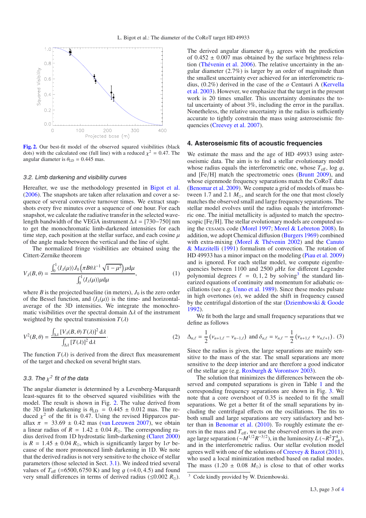<span id="page-4-0"></span>

**[Fig. 2.](http://dexter.edpsciences.org/applet.php?DOI=10.1051/0004-6361/201117349&pdf_id=2)** Our best-fit model of the observed squared visibilities (black dots) with the calculated one (full line) with a reduced  $\chi^2 = 0.47$ . The angular diameter is  $\theta_{LD} = 0.445$  mas.

#### 3.2. Limb darkening and visibility curves

Hereafter, we use the methodology presented in [Bigot et al.](#page-5-22) [\(2006](#page-5-22)). The snapshots are taken after relaxation and cover a sequence of several convective turnover times. We extract snapshots every five minutes over a sequence of one hour. For each snapshot, we calculate the radiative transfer in the selected wavelength bandwidth of the VEGA instrument  $\Delta \lambda = [730-750]$  nm to get the monochromatic limb-darkened intensities for each time step, each position at the stellar surface, and each cosine  $\mu$ of the angle made between the vertical and the line of sight.

The normalized fringe visibilities are obtained using the Cittert-Zernike theorem

$$
V_{\lambda}(B,\theta) = \frac{\int_0^1 \langle I_{\lambda}(\mu) \rangle J_0 \left( \pi B \theta \lambda^{-1} \sqrt{1 - \mu^2} \right) \mu d\mu}{\int_0^1 \langle I_{\lambda}(\mu) \rangle \mu d\mu},\tag{1}
$$

where  $B$  is the projected baseline (in meters),  $J_0$  is the zero order of the Bessel function, and  $\langle I_A(\mu) \rangle$  is the time- and horizontalaverage of the 3D intensities. We integrate the monochromatic visibilities over the spectral domain  $\Delta \lambda$  of the instrument weighted by the spectral transmission  $T(\lambda)$ 

$$
V^{2}(B,\theta) = \frac{\int_{\Delta\lambda} \left[ V_{\lambda}(B,\theta) \, T(\lambda) \right]^{2} \mathrm{d}\lambda}{\int_{\Delta\lambda} \left[ T(\lambda) \right]^{2} \mathrm{d}\lambda}.
$$
 (2)

The function  $T(\lambda)$  is derived from the direct flux measurement of the target and checked on several bright stars.

## 3.3. The  $\chi^2$  fit of the data

The angular diameter is determined by a Levenberg-Marquardt least-squares fit to the observed squared visibilities with the model. The result is shown in Fig. [2.](#page-4-0) The value derived from the 3D limb darkening is  $\theta_{LD} = 0.445 \pm 0.012$  mas. The reduced  $\chi^2$  of the fit is 0.47. Using the revised Hipparcos parallax  $\pi = 33.69 \pm 0.42$  mas [\(van Leeuwen 2007](#page-5-28)), we obtain a linear radius of  $R = 1.42 \pm 0.04 R_{\odot}$ . The corresponding radius derived from 1D hydrostatic limb-darkening [\(Claret 2000](#page-5-29)) is  $R = 1.45 \pm 0.04 R_{\odot}$ , which is significantly larger by  $1\sigma$  because of the more pronounced limb darkening in 1D. We note that the derived radius is not very sensitive to the choice of stellar parameters (those selected in Sect. [3.1\)](#page-3-3). We indeed tried several values of  $T_{\text{eff}}$  (=6500, 6750 K) and log  $g$  (=4.0, 4.5) and found very small differences in terms of derived radius ( $\leq 0.002 R_{\odot}$ ). The derived angular diameter  $\theta_{LD}$  agrees with the prediction of  $0.452 \pm 0.007$  mas obtained by the surface brightness relation [\(Thévenin et al. 2006](#page-5-30)). The relative uncertainty in the angular diameter (2.7%) is larger by an order of magnitude than the smallest uncertainty ever achieved for an interferometric radius,  $(0.2\%)$  derived in the case of the  $\alpha$  Centauri A (Kervella et al. [2003](#page-5-9)). However, we emphasize that the target in the present work is 20 times smaller. This uncertainty dominates the total uncertainty of about 3%, including the error in the parallax. Nonetheless, the relative uncertainty in the radius is sufficiently accurate to tightly constrain the mass using asteroseismic frequencies [\(Creevey et al. 2007](#page-5-8)).

#### **4. Asteroseismic fits of acoustic frequencies**

We estimate the mass and the age of HD 49933 using asteroseismic data. The aim is to find a stellar evolutionary model whose radius equals the interferometric one, whose  $T_{\text{eff}}$ , log  $g$ , and [Fe/H] match the spectrometric ones [\(Bruntt 2009\)](#page-5-6), and whose eigenmode frequency separations match the CoRoT data [\(Benomar et al. 2009\)](#page-5-3). We compute a grid of models of mass between 1.7 and 2.1  $M_{\odot}$ , and search for the one that most closely matches the observed small and large frequency separations. The stellar model evolves until the radius equals the interferometric one. The initial metallicity is adjusted to match the spectroscopic [Fe/H]. The stellar evolutionary models are computed using the CESAM2k code [\(Morel 1997;](#page-5-31) [Morel & Lebreton 2008\)](#page-5-32). In addition, we adopt Chemical diffusion [\(Burgers 1969\)](#page-5-33) combined with extra-[mixing](#page-5-35) [\(Morel & Thévenin 2002](#page-5-34)[\)](#page-5-35) [and](#page-5-35) [the](#page-5-35) Canuto & Mazzitelli [\(1991\)](#page-5-35) formalism of convection. The rotation of HD 49933 has a minor impact on the modeling [\(Piau et al. 2009](#page-5-36)) and is ignored. For each stellar model, we compute eigenfrequencies between 1100 and 2500  $\mu$ Hz for different Legendre polynomial degrees  $\ell = 0, 1, 2$  by solving<sup>[3](#page-4-1)</sup> the standard linearized equations of continuity and momentum for adiabatic oscillations (see e.g. [Unno et al. 1989](#page-5-37)). Since these modes pulsate in high overtones (*n*), we added the shift in frequency caused by the centrifugal distortion of the star [\(Dziembowski & Goode](#page-5-38) [1992\)](#page-5-38).

We fit both the large and small frequency separations that we define as follows

$$
\Delta_{n,\ell} = \frac{1}{2} \left( v_{n+1,\ell} - v_{n-1,\ell} \right) \text{ and } \delta_{n,\ell} = v_{n,\ell} - \frac{1}{2} \left( v_{n+1,\ell} + v_{n,\ell+1} \right). (3)
$$

Since the radius is given, the large separations are mainly sensitive to the mass of the star. The small separations are more sensitive to the deep interior and are therefore a good indicator of the stellar age (e.g. [Roxburgh & Vorontsov 2003\)](#page-5-39).

<span id="page-4-1"></span>The solution that minimizes the differences between the observed and computed separations is given in Table [1](#page-5-40) and the corresponding frequency separations are shown in Fig. [3.](#page-5-41) We note that a core overshoot of 0.35 is needed to fit the small separations. We get a better fit of the small separations by including the centrifugal effects on the oscillations. The fits to both small and large separations are very satisfactory and better than in [Benomar et al.](#page-5-42) [\(2010](#page-5-42)). To roughly estimate the errors in the mass and *T*<sup>e</sup>ff, we use the observed errors in the average large separation (∼*M*<sup>1/2</sup>*R*<sup>−3/2</sup>), in the luminosity  $L$  (∼*R*<sup>2</sup>*T*<sup>4</sup><sub>eff</sub>), and in the interferometric radius. Our stellar evolution model agrees well with one of the solutions of [Creevey & Bazot](#page-5-43) [\(2011\)](#page-5-43), who used a local minimization method based on radial modes. The mass  $(1.20 \pm 0.08 \text{ M}_{\odot})$  is close to that of other works

<sup>&</sup>lt;sup>3</sup> Code kindly provided by W. Dziembowski.